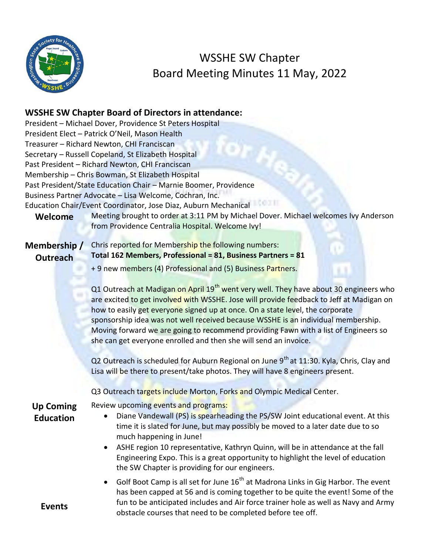

## WSSHE SW Chapter Board Meeting Minutes 11 May, 2022

## **WSSHE SW Chapter Board of Directors in attendance:**

|                                      | President - Michael Dover, Providence St Peters Hospital                                                                                                                                                                                                                                                                                                                                                                                                                                                                       |
|--------------------------------------|--------------------------------------------------------------------------------------------------------------------------------------------------------------------------------------------------------------------------------------------------------------------------------------------------------------------------------------------------------------------------------------------------------------------------------------------------------------------------------------------------------------------------------|
|                                      | President Elect - Patrick O'Neil, Mason Health                                                                                                                                                                                                                                                                                                                                                                                                                                                                                 |
|                                      | Treasurer - Richard Newton, CHI Franciscan                                                                                                                                                                                                                                                                                                                                                                                                                                                                                     |
|                                      | Secretary - Russell Copeland, St Elizabeth Hospital                                                                                                                                                                                                                                                                                                                                                                                                                                                                            |
|                                      | Past President - Richard Newton, CHI Franciscan                                                                                                                                                                                                                                                                                                                                                                                                                                                                                |
|                                      | Membership - Chris Bowman, St Elizabeth Hospital                                                                                                                                                                                                                                                                                                                                                                                                                                                                               |
|                                      | Past President/State Education Chair - Marnie Boomer, Providence                                                                                                                                                                                                                                                                                                                                                                                                                                                               |
|                                      | Business Partner Advocate - Lisa Welcome, Cochran, Inc.                                                                                                                                                                                                                                                                                                                                                                                                                                                                        |
|                                      | Education Chair/Event Coordinator, Jose Diaz, Auburn Mechanical                                                                                                                                                                                                                                                                                                                                                                                                                                                                |
| Welcome                              | Meeting brought to order at 3:11 PM by Michael Dover. Michael welcomes Ivy Anderson<br>from Providence Centralia Hospital. Welcome Ivy!                                                                                                                                                                                                                                                                                                                                                                                        |
|                                      | Chris reported for Membership the following numbers:                                                                                                                                                                                                                                                                                                                                                                                                                                                                           |
| Membership/                          | Total 162 Members, Professional = 81, Business Partners = 81                                                                                                                                                                                                                                                                                                                                                                                                                                                                   |
| <b>Outreach</b>                      |                                                                                                                                                                                                                                                                                                                                                                                                                                                                                                                                |
|                                      | + 9 new members (4) Professional and (5) Business Partners.                                                                                                                                                                                                                                                                                                                                                                                                                                                                    |
|                                      | Q1 Outreach at Madigan on April 19 <sup>th</sup> went very well. They have about 30 engineers who<br>are excited to get involved with WSSHE. Jose will provide feedback to Jeff at Madigan on<br>how to easily get everyone signed up at once. On a state level, the corporate<br>sponsorship idea was not well received because WSSHE is an individual membership.<br>Moving forward we are going to recommend providing Fawn with a list of Engineers so<br>she can get everyone enrolled and then she will send an invoice. |
|                                      | Q2 Outreach is scheduled for Auburn Regional on June 9 <sup>th</sup> at 11:30. Kyla, Chris, Clay and<br>Lisa will be there to present/take photos. They will have 8 engineers present.                                                                                                                                                                                                                                                                                                                                         |
|                                      | Q3 Outreach targets include Morton, Forks and Olympic Medical Center.                                                                                                                                                                                                                                                                                                                                                                                                                                                          |
| <b>Up Coming</b><br><b>Education</b> | Review upcoming events and programs:<br>Diane Vandewall (PS) is spearheading the PS/SW Joint educational event. At this<br>time it is slated for June, but may possibly be moved to a later date due to so<br>much happening in June!<br>ASHE region 10 representative, Kathryn Quinn, will be in attendance at the fall<br>$\bullet$<br>Engineering Expo. This is a great opportunity to highlight the level of education<br>the SW Chapter is providing for our engineers.                                                   |
| <b>Events</b>                        | Golf Boot Camp is all set for June 16 <sup>th</sup> at Madrona Links in Gig Harbor. The event<br>has been capped at 56 and is coming together to be quite the event! Some of the<br>fun to be anticipated includes and Air force trainer hole as well as Navy and Army<br>obstacle courses that need to be completed before tee off.                                                                                                                                                                                           |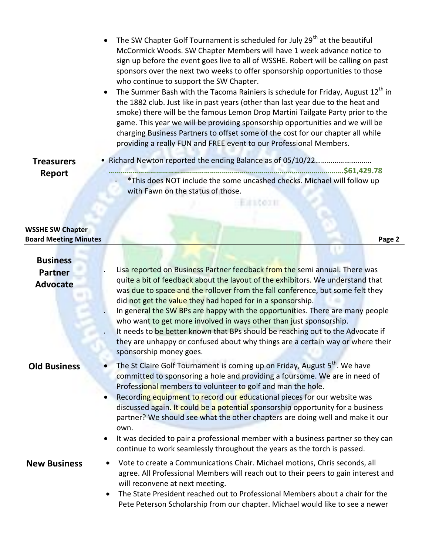- The SW Chapter Golf Tournament is scheduled for July 29<sup>th</sup> at the beautiful McCormick Woods. SW Chapter Members will have 1 week advance notice to sign up before the event goes live to all of WSSHE. Robert will be calling on past sponsors over the next two weeks to offer sponsorship opportunities to those who continue to support the SW Chapter.
- The Summer Bash with the Tacoma Rainiers is schedule for Friday, August 12<sup>th</sup> in the 1882 club. Just like in past years (other than last year due to the heat and smoke) there will be the famous Lemon Drop Martini Tailgate Party prior to the game. This year we will be providing sponsorship opportunities and we will be charging Business Partners to offset some of the cost for our chapter all while providing a really FUN and FREE event to our Professional Members.

## **Treasurers Report**

 • Richard Newton reported the ending Balance as of 05/10/22………………………..  **……………………………………………………………………………………………………….\$61,429.78** \*This does NOT include the some uncashed checks. Michael will follow up with Fawn on the status of those.

ESTROIT

## **WSSHE SW Chapter Board Meeting Minutes Page 2**

| <b>Business</b>                   |                                                                                                                                                                                                                                                                                                                                                                                                                                                                                                                                                                                                                                                                    |
|-----------------------------------|--------------------------------------------------------------------------------------------------------------------------------------------------------------------------------------------------------------------------------------------------------------------------------------------------------------------------------------------------------------------------------------------------------------------------------------------------------------------------------------------------------------------------------------------------------------------------------------------------------------------------------------------------------------------|
| <b>Partner</b><br><b>Advocate</b> | Lisa reported on Business Partner feedback from the semi annual. There was<br>quite a bit of feedback about the layout of the exhibitors. We understand that<br>was due to space and the rollover from the fall conference, but some felt they<br>did not get the value they had hoped for in a sponsorship.<br>In general the SW BPs are happy with the opportunities. There are many people<br>who want to get more involved in ways other than just sponsorship.<br>It needs to be better known that BPs should be reaching out to the Advocate if<br>they are unhappy or confused about why things are a certain way or where their<br>sponsorship money goes. |
| <b>Old Business</b>               | The St Claire Golf Tournament is coming up on Friday, August 5 <sup>th</sup> . We have<br>committed to sponsoring a hole and providing a foursome. We are in need of<br>Professional members to volunteer to golf and man the hole.<br>Recording equipment to record our educational pieces for our website was<br>$\bullet$<br>discussed again. It could be a potential sponsorship opportunity for a business<br>partner? We should see what the other chapters are doing well and make it our<br>own.<br>It was decided to pair a professional member with a business partner so they can<br>$\bullet$                                                          |
|                                   | continue to work seamlessly throughout the years as the torch is passed.                                                                                                                                                                                                                                                                                                                                                                                                                                                                                                                                                                                           |
| <b>New Business</b>               | Vote to create a Communications Chair. Michael motions, Chris seconds, all<br>$\bullet$<br>agree. All Professional Members will reach out to their peers to gain interest and<br>will reconvene at next meeting.<br>The State President reached out to Professional Members about a chair for the<br>$\bullet$<br>Pete Peterson Scholarship from our chapter. Michael would like to see a newer                                                                                                                                                                                                                                                                    |